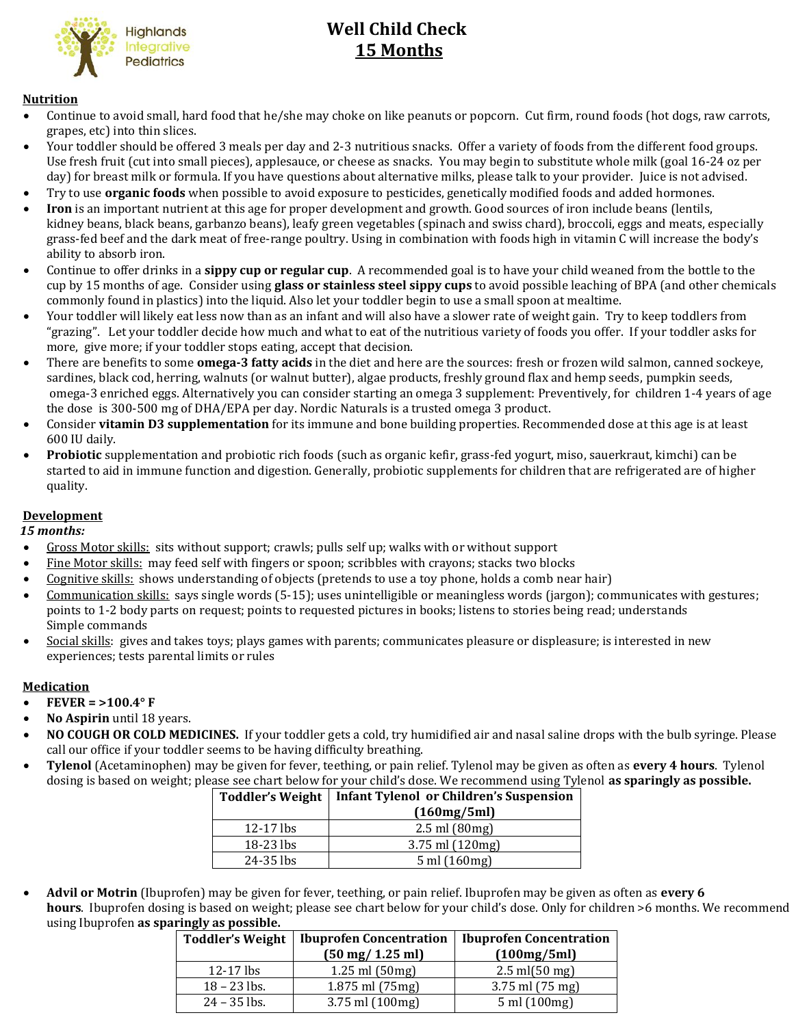

# **Well Child Check** 15 Months

#### **Nutrition**

- Continue to avoid small, hard food that he/she may choke on like peanuts or popcorn. Cut firm, round foods (hot dogs, raw carrots, grapes, etc) into thin slices.
- Your toddler should be offered 3 meals per day and 2-3 nutritious snacks. Offer a variety of foods from the different food groups. Use fresh fruit (cut into small pieces), applesauce, or cheese as snacks. You may begin to substitute whole milk (goal 16-24 oz per day) for breast milk or formula. If you have questions about alternative milks, please talk to your provider. Juice is not advised.
- Try to use **organic foods** when possible to avoid exposure to pesticides, genetically modified foods and added hormones.
- **Iron** is an important nutrient at this age for proper development and growth. Good sources of iron include beans (lentils, kidney beans, black beans, garbanzo beans), leafy green vegetables (spinach and swiss chard), broccoli, eggs and meats, especially grass-fed beef and the dark meat of free-range poultry. Using in combination with foods high in vitamin C will increase the body's ability to absorb iron.
- Continue to offer drinks in a **sippy cup or regular cup**. A recommended goal is to have your child weaned from the bottle to the cup by 15 months of age. Consider using **glass or stainless steel sippy cups** to avoid possible leaching of BPA (and other chemicals commonly found in plastics) into the liquid. Also let your toddler begin to use a small spoon at mealtime.
- Your toddler will likely eat less now than as an infant and will also have a slower rate of weight gain. Try to keep toddlers from "grazing". Let your toddler decide how much and what to eat of the nutritious variety of foods you offer. If your toddler asks for more, give more; if your toddler stops eating, accept that decision.
- There are benefits to some **omega-3 fatty acids** in the diet and here are the sources: fresh or frozen wild salmon, canned sockeye, sardines, black cod, herring, walnuts (or walnut butter), algae products, freshly ground flax and hemp seeds, pumpkin seeds, omega-3 enriched eggs. Alternatively you can consider starting an omega 3 supplement: Preventively, for children 1-4 years of age the dose is 300-500 mg of DHA/EPA per day. Nordic Naturals is a trusted omega 3 product.
- Consider **vitamin D3 supplementation** for its immune and bone building properties. Recommended dose at this age is at least 600 IU daily.
- **Probiotic** supplementation and probiotic rich foods (such as organic kefir, grass-fed yogurt, miso, sauerkraut, kimchi) can be started to aid in immune function and digestion. Generally, probiotic supplements for children that are refrigerated are of higher quality.

## **Development**

 *15 months:*

- Gross Motor skills: sits without support; crawls; pulls self up; walks with or without support
- Fine Motor skills: may feed self with fingers or spoon; scribbles with crayons; stacks two blocks
- Cognitive skills: shows understanding of objects (pretends to use a toy phone, holds a comb near hair)
- Communication skills: says single words (5-15); uses unintelligible or meaningless words (jargon); communicates with gestures; points to 1-2 body parts on request; points to requested pictures in books; listens to stories being read; understands Simple commands
- Social skills: gives and takes toys; plays games with parents; communicates pleasure or displeasure; is interested in new experiences; tests parental limits or rules

#### **Medication**

- **FEVER = >100.4° F**
- **No Aspirin** until 18 years.
- **NO COUGH OR COLD MEDICINES.** If your toddler gets a cold, try humidified air and nasal saline drops with the bulb syringe. Please call our office if your toddler seems to be having difficulty breathing.
- **Tylenol** (Acetaminophen) may be given for fever, teething, or pain relief. Tylenol may be given as often as **every 4 hours**. Tylenol dosing is based on weight; please see chart below for your child's dose. We recommend using Tylenol **as sparingly as possible.**

|             | Toddler's Weight   Infant Tylenol or Children's Suspension |  |
|-------------|------------------------------------------------------------|--|
|             | (160mg/5ml)                                                |  |
| $12-17$ lbs | $2.5 \,\mathrm{ml}$ (80mg)                                 |  |
| $18-23$ lbs | $3.75$ ml $(120mg)$                                        |  |
| 24-35 lbs   | $5 \text{ ml} (160 \text{ mg})$                            |  |

 **Advil or Motrin** (Ibuprofen) may be given for fever, teething, or pain relief. Ibuprofen may be given as often as **every 6 hours**. Ibuprofen dosing is based on weight; please see chart below for your child's dose. Only for children >6 months. We recommend using Ibuprofen **as sparingly as possible.**

| <b>Toddler's Weight</b> | <b>Ibuprofen Concentration</b><br>$(50 \text{ mg}/ 1.25 \text{ ml})$ | <b>Ibuprofen Concentration</b><br>(100mg/5ml) |
|-------------------------|----------------------------------------------------------------------|-----------------------------------------------|
| $12-17$ lbs             | $1.25$ ml $(50mg)$                                                   | $2.5 \text{ ml} (50 \text{ mg})$              |
| $18 - 23$ lbs.          | 1.875 ml (75mg)                                                      | $3.75$ ml $(75$ mg)                           |
| $24 - 35$ lbs.          | 3.75 ml (100mg)                                                      | 5 ml (100mg)                                  |